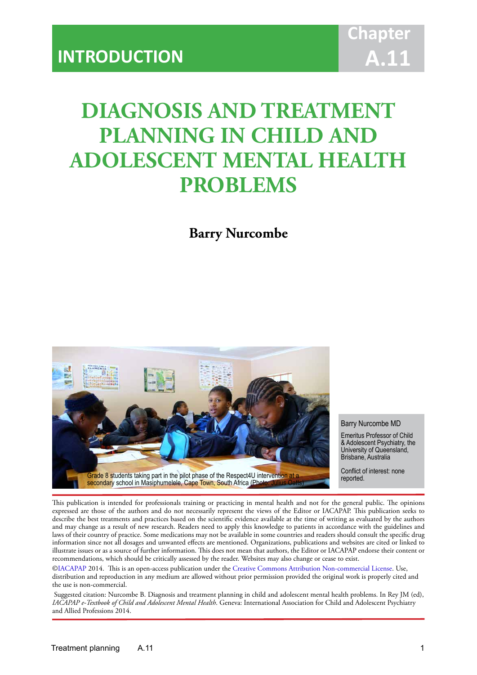# **DIAGNOSIS AND TREATMENT PLANNING IN CHILD AND ADOLESCENT MENTAL HEALTH PROBLEMS**

IACAPAP Textbook of Child and Adolescent Mental Health

**Barry Nurcombe**



#### Barry Nurcombe MD

Emeritus Professor of Child & Adolescent Psychiatry, the University of Queensland, Brisbane, Australia

Conflict of interest: none<br>reported.

This publication is intended for professionals training or practicing in mental health and not for the general public. The opinions expressed are those of the authors and do not necessarily represent the views of the Editor or IACAPAP. This publication seeks to describe the best treatments and practices based on the scientific evidence available at the time of writing as evaluated by the authors and may change as a result of new research. Readers need to apply this knowledge to patients in accordance with the guidelines and laws of their country of practice. Some medications may not be available in some countries and readers should consult the specific drug information since not all dosages and unwanted effects are mentioned. Organizations, publications and websites are cited or linked to illustrate issues or as a source of further information. This does not mean that authors, the Editor or IACAPAP endorse their content or recommendations, which should be critically assessed by the reader. Websites may also change or cease to exist.

[©IACAPAP](http://iacapap.org/) 2014. This is an open-access publication under the [Creative Commons Attribution Non-commercial License](http://creativecommons.org/licenses/by-nc/2.0/). Use, distribution and reproduction in any medium are allowed without prior permission provided the original work is properly cited and the use is non-commercial.

 Suggested citation: Nurcombe B. Diagnosis and treatment planning in child and adolescent mental health problems. In Rey JM (ed), *IACAPAP e-Textbook of Child and Adolescent Mental Health*. Geneva: International Association for Child and Adolescent Psychiatry and Allied Professions 2014.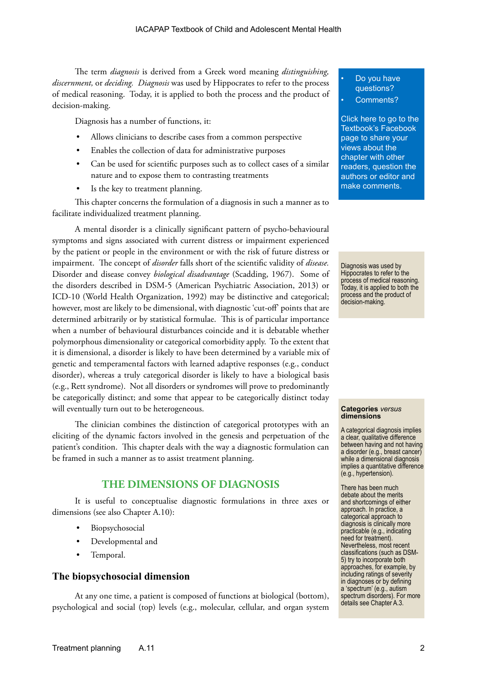The term *diagnosis* is derived from a Greek word meaning *distinguishing, discernment,* or *deciding. Diagnosis* was used by Hippocrates to refer to the process of medical reasoning. Today, it is applied to both the process and the product of decision-making.

Diagnosis has a number of functions, it:

- Allows clinicians to describe cases from a common perspective
- Enables the collection of data for administrative purposes
- Can be used for scientific purposes such as to collect cases of a similar nature and to expose them to contrasting treatments
- Is the key to treatment planning.

This chapter concerns the formulation of a diagnosis in such a manner as to facilitate individualized treatment planning.

A mental disorder is a clinically significant pattern of psycho-behavioural symptoms and signs associated with current distress or impairment experienced by the patient or people in the environment or with the risk of future distress or impairment. The concept of *disorder* falls short of the scientific validity of *disease.*  Disorder and disease convey *biological disadvantage* (Scadding, 1967). Some of the disorders described in DSM-5 (American Psychiatric Association, 2013) or ICD-10 (World Health Organization, 1992) may be distinctive and categorical; however, most are likely to be dimensional, with diagnostic 'cut-off' points that are determined arbitrarily or by statistical formulae. This is of particular importance when a number of behavioural disturbances coincide and it is debatable whether polymorphous dimensionality or categorical comorbidity apply. To the extent that it is dimensional, a disorder is likely to have been determined by a variable mix of genetic and temperamental factors with learned adaptive responses (e.g., conduct disorder), whereas a truly categorical disorder is likely to have a biological basis (e.g., Rett syndrome). Not all disorders or syndromes will prove to predominantly be categorically distinct; and some that appear to be categorically distinct today will eventually turn out to be heterogeneous.

The clinician combines the distinction of categorical prototypes with an eliciting of the dynamic factors involved in the genesis and perpetuation of the patient's condition. This chapter deals with the way a diagnostic formulation can be framed in such a manner as to assist treatment planning.

## **THE DIMENSIONS OF DIAGNOSIS**

It is useful to conceptualise diagnostic formulations in three axes or dimensions (see also Chapter A.10):

- **Biopsychosocial**
- Developmental and
- Temporal.

#### **The biopsychosocial dimension**

At any one time, a patient is composed of functions at biological (bottom), psychological and social (top) levels (e.g., molecular, cellular, and organ system

#### Do you have questions?

#### Comments?

[Click here to go to the](https://www.facebook.com/pages/IACAPAP-Textbook-of-Child-and-Adolescent-Mental-Health/249690448525378)  Textbook's Facebook page to share your views about the chapter with other readers, question the authors or editor and make comments.

Diagnosis was used by Hippocrates to refer to the process of medical reasoning. Today, it is applied to both the process and the product of decision-making.

#### **Categories** *versus* **dimensions**

A categorical diagnosis implies a clear, qualitative difference between having and not having a disorder (e.g., breast cancer) while a dimensional diagnosis implies a quantitative difference (e.g., hypertension).

There has been much debate about the merits and shortcomings of either approach. In practice, a categorical approach to diagnosis is clinically more practicable (e.g., indicating need for treatment). Nevertheless, most recent classifications (such as DSM-5) try to incorporate both approaches, for example, by including ratings of severity in diagnoses or by defining a 'spectrum' (e.g., autism spectrum disorders). For more details see Chapter A.3.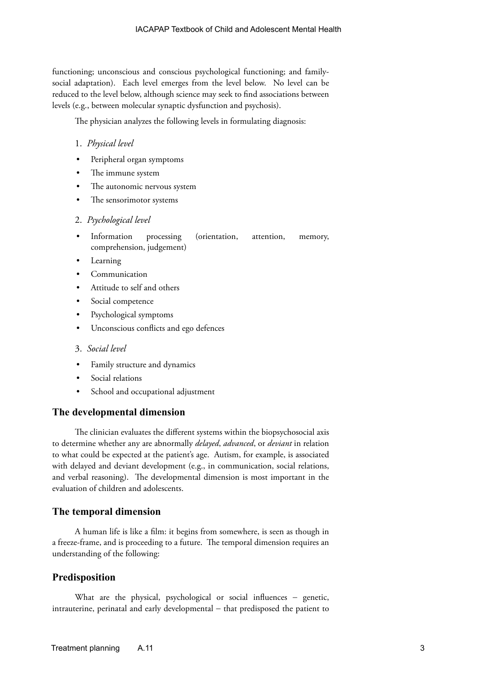functioning; unconscious and conscious psychological functioning; and familysocial adaptation). Each level emerges from the level below. No level can be reduced to the level below, although science may seek to find associations between levels (e.g., between molecular synaptic dysfunction and psychosis).

The physician analyzes the following levels in formulating diagnosis:

#### 1. *Physical level*

- Peripheral organ symptoms
- The immune system
- The autonomic nervous system
- The sensorimotor systems

#### 2. *Psychological level*

- Information processing (orientation, attention, memory, comprehension, judgement)
- **Learning**
- **Communication**
- Attitude to self and others
- Social competence
- Psychological symptoms
- Unconscious conflicts and ego defences

#### 3. *Social level*

- Family structure and dynamics
- Social relations
- School and occupational adjustment

#### **The developmental dimension**

The clinician evaluates the different systems within the biopsychosocial axis to determine whether any are abnormally *delayed*, *advanced*, or *deviant* in relation to what could be expected at the patient's age. Autism, for example, is associated with delayed and deviant development (e.g., in communication, social relations, and verbal reasoning). The developmental dimension is most important in the evaluation of children and adolescents.

#### **The temporal dimension**

A human life is like a film: it begins from somewhere, is seen as though in a freeze-frame, and is proceeding to a future. The temporal dimension requires an understanding of the following:

#### **Predisposition**

What are the physical, psychological or social influences − genetic, intrauterine, perinatal and early developmental − that predisposed the patient to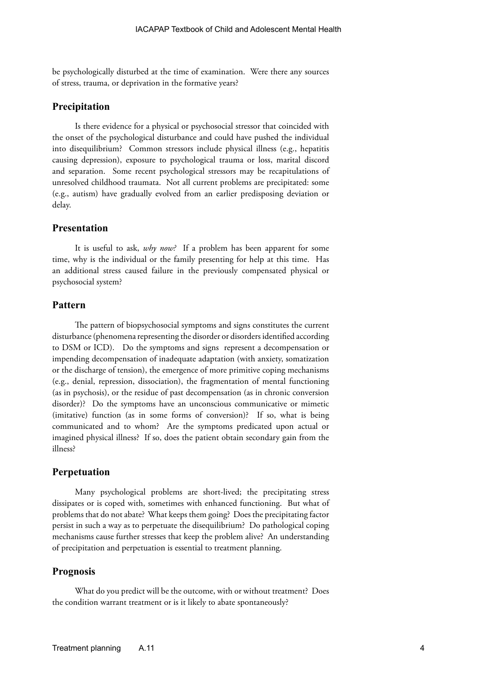be psychologically disturbed at the time of examination. Were there any sources of stress, trauma, or deprivation in the formative years?

### **Precipitation**

Is there evidence for a physical or psychosocial stressor that coincided with the onset of the psychological disturbance and could have pushed the individual into disequilibrium? Common stressors include physical illness (e.g., hepatitis causing depression), exposure to psychological trauma or loss, marital discord and separation. Some recent psychological stressors may be recapitulations of unresolved childhood traumata. Not all current problems are precipitated: some (e.g., autism) have gradually evolved from an earlier predisposing deviation or delay.

#### **Presentation**

It is useful to ask, *why now?* If a problem has been apparent for some time, why is the individual or the family presenting for help at this time. Has an additional stress caused failure in the previously compensated physical or psychosocial system?

## **Pattern**

The pattern of biopsychosocial symptoms and signs constitutes the current disturbance (phenomena representing the disorder or disorders identified according to DSM or ICD). Do the symptoms and signs represent a decompensation or impending decompensation of inadequate adaptation (with anxiety, somatization or the discharge of tension), the emergence of more primitive coping mechanisms (e.g., denial, repression, dissociation), the fragmentation of mental functioning (as in psychosis), or the residue of past decompensation (as in chronic conversion disorder)? Do the symptoms have an unconscious communicative or mimetic (imitative) function (as in some forms of conversion)? If so, what is being communicated and to whom? Are the symptoms predicated upon actual or imagined physical illness? If so, does the patient obtain secondary gain from the illness?

#### **Perpetuation**

Many psychological problems are short-lived; the precipitating stress dissipates or is coped with, sometimes with enhanced functioning. But what of problems that do not abate? What keeps them going? Does the precipitating factor persist in such a way as to perpetuate the disequilibrium? Do pathological coping mechanisms cause further stresses that keep the problem alive? An understanding of precipitation and perpetuation is essential to treatment planning.

#### **Prognosis**

What do you predict will be the outcome, with or without treatment? Does the condition warrant treatment or is it likely to abate spontaneously?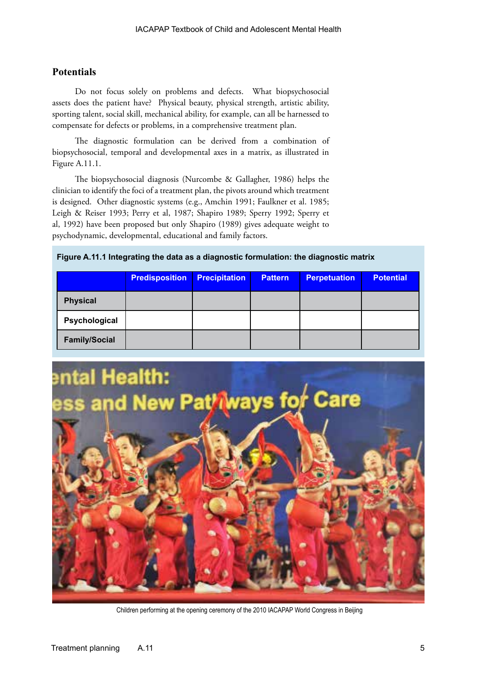# **Potentials**

Do not focus solely on problems and defects. What biopsychosocial assets does the patient have? Physical beauty, physical strength, artistic ability, sporting talent, social skill, mechanical ability, for example, can all be harnessed to compensate for defects or problems, in a comprehensive treatment plan.

The diagnostic formulation can be derived from a combination of biopsychosocial, temporal and developmental axes in a matrix, as illustrated in Figure A.11.1.

The biopsychosocial diagnosis (Nurcombe & Gallagher, 1986) helps the clinician to identify the foci of a treatment plan, the pivots around which treatment is designed. Other diagnostic systems (e.g., Amchin 1991; Faulkner et al. 1985; Leigh & Reiser 1993; Perry et al, 1987; Shapiro 1989; Sperry 1992; Sperry et al, 1992) have been proposed but only Shapiro (1989) gives adequate weight to psychodynamic, developmental, educational and family factors.

## **Figure A.11.1 Integrating the data as a diagnostic formulation: the diagnostic matrix**

|                      | <b>Predisposition</b> | <b>Precipitation</b> | <b>Pattern</b> | <b>Perpetuation</b> | <b>Potential</b> |
|----------------------|-----------------------|----------------------|----------------|---------------------|------------------|
| <b>Physical</b>      |                       |                      |                |                     |                  |
| Psychological        |                       |                      |                |                     |                  |
| <b>Family/Social</b> |                       |                      |                |                     |                  |



Children performing at the opening ceremony of the 2010 IACAPAP World Congress in Beijing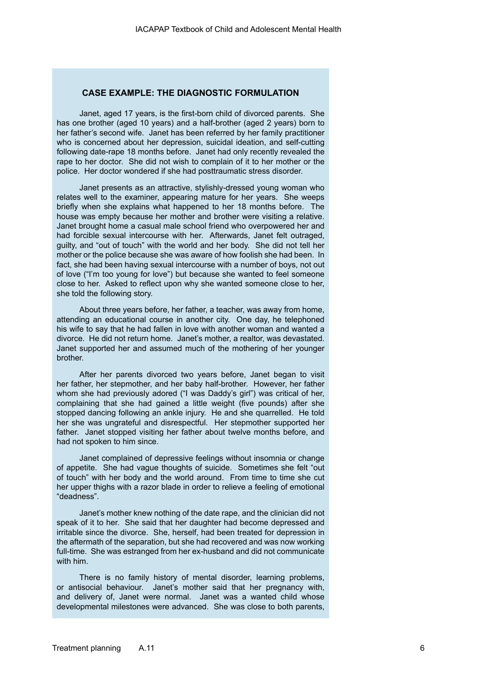## **CASE EXAMPLE: THE DIAGNOSTIC FORMULATION**

Janet, aged 17 years, is the first-born child of divorced parents. She has one brother (aged 10 years) and a half-brother (aged 2 years) born to her father's second wife. Janet has been referred by her family practitioner who is concerned about her depression, suicidal ideation, and self-cutting following date-rape 18 months before. Janet had only recently revealed the rape to her doctor. She did not wish to complain of it to her mother or the police. Her doctor wondered if she had posttraumatic stress disorder.

Janet presents as an attractive, stylishly-dressed young woman who relates well to the examiner, appearing mature for her years. She weeps briefly when she explains what happened to her 18 months before. The house was empty because her mother and brother were visiting a relative. Janet brought home a casual male school friend who overpowered her and had forcible sexual intercourse with her. Afterwards, Janet felt outraged, guilty, and "out of touch" with the world and her body. She did not tell her mother or the police because she was aware of how foolish she had been. In fact, she had been having sexual intercourse with a number of boys, not out of love ("I'm too young for love") but because she wanted to feel someone close to her. Asked to reflect upon why she wanted someone close to her, she told the following story.

About three years before, her father, a teacher, was away from home, attending an educational course in another city. One day, he telephoned his wife to say that he had fallen in love with another woman and wanted a divorce. He did not return home. Janet's mother, a realtor, was devastated. Janet supported her and assumed much of the mothering of her younger brother.

After her parents divorced two years before, Janet began to visit her father, her stepmother, and her baby half-brother. However, her father whom she had previously adored ("I was Daddy's girl") was critical of her, complaining that she had gained a little weight (five pounds) after she stopped dancing following an ankle injury. He and she quarrelled. He told her she was ungrateful and disrespectful. Her stepmother supported her father. Janet stopped visiting her father about twelve months before, and had not spoken to him since.

Janet complained of depressive feelings without insomnia or change of appetite. She had vague thoughts of suicide. Sometimes she felt "out of touch" with her body and the world around. From time to time she cut her upper thighs with a razor blade in order to relieve a feeling of emotional "deadness".

Janet's mother knew nothing of the date rape, and the clinician did not speak of it to her. She said that her daughter had become depressed and irritable since the divorce. She, herself, had been treated for depression in the aftermath of the separation, but she had recovered and was now working full-time. She was estranged from her ex-husband and did not communicate with him.

There is no family history of mental disorder, learning problems, or antisocial behaviour. Janet's mother said that her pregnancy with, and delivery of, Janet were normal. Janet was a wanted child whose developmental milestones were advanced. She was close to both parents,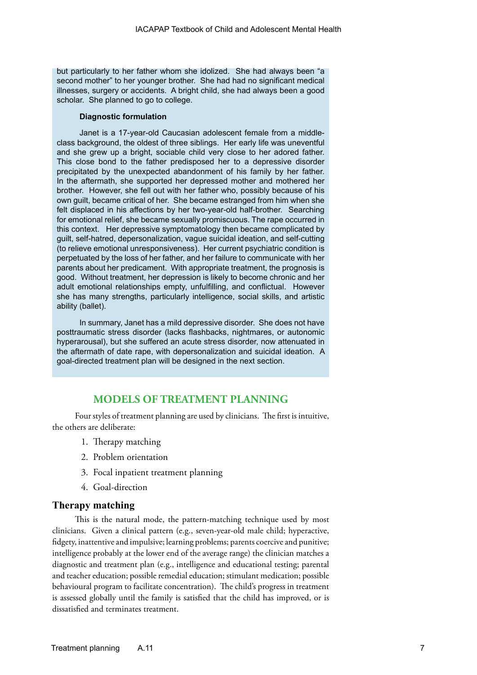but particularly to her father whom she idolized. She had always been "a second mother" to her younger brother. She had had no significant medical illnesses, surgery or accidents. A bright child, she had always been a good scholar. She planned to go to college.

#### **Diagnostic formulation**

Janet is a 17-year-old Caucasian adolescent female from a middleclass background, the oldest of three siblings. Her early life was uneventful and she grew up a bright, sociable child very close to her adored father. This close bond to the father predisposed her to a depressive disorder precipitated by the unexpected abandonment of his family by her father. In the aftermath, she supported her depressed mother and mothered her brother. However, she fell out with her father who, possibly because of his own guilt, became critical of her. She became estranged from him when she felt displaced in his affections by her two-year-old half-brother. Searching for emotional relief, she became sexually promiscuous. The rape occurred in this context. Her depressive symptomatology then became complicated by guilt, self-hatred, depersonalization, vague suicidal ideation, and self-cutting (to relieve emotional unresponsiveness). Her current psychiatric condition is perpetuated by the loss of her father, and her failure to communicate with her parents about her predicament. With appropriate treatment, the prognosis is good. Without treatment, her depression is likely to become chronic and her adult emotional relationships empty, unfulfilling, and conflictual. However she has many strengths, particularly intelligence, social skills, and artistic ability (ballet).

In summary, Janet has a mild depressive disorder. She does not have posttraumatic stress disorder (lacks flashbacks, nightmares, or autonomic hyperarousal), but she suffered an acute stress disorder, now attenuated in the aftermath of date rape, with depersonalization and suicidal ideation. A goal-directed treatment plan will be designed in the next section.

## **MODELS OF TREATMENT PLANNING**

Four styles of treatment planning are used by clinicians. The first is intuitive, the others are deliberate:

- 1. Therapy matching
- 2. Problem orientation
- 3. Focal inpatient treatment planning
- 4. Goal-direction

## **Therapy matching**

This is the natural mode, the pattern-matching technique used by most clinicians. Given a clinical pattern (e.g., seven-year-old male child; hyperactive, fidgety, inattentive and impulsive; learning problems; parents coercive and punitive; intelligence probably at the lower end of the average range) the clinician matches a diagnostic and treatment plan (e.g., intelligence and educational testing; parental and teacher education; possible remedial education; stimulant medication; possible behavioural program to facilitate concentration). The child's progress in treatment is assessed globally until the family is satisfied that the child has improved, or is dissatisfied and terminates treatment.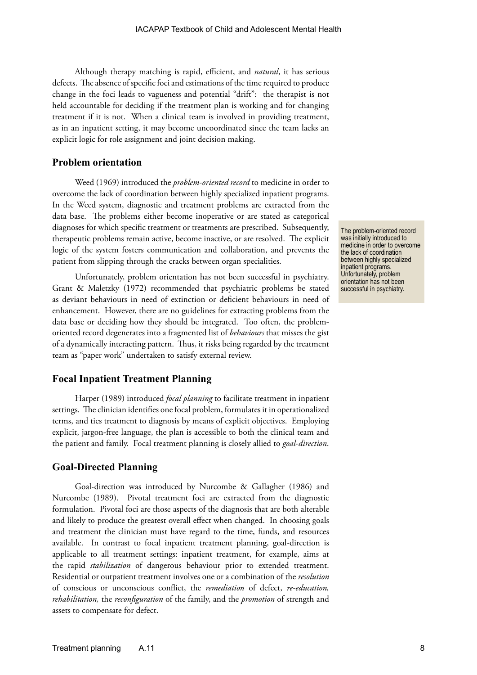Although therapy matching is rapid, efficient, and *natural*, it has serious defects. The absence of specific foci and estimations of the time required to produce change in the foci leads to vagueness and potential "drift": the therapist is not held accountable for deciding if the treatment plan is working and for changing treatment if it is not. When a clinical team is involved in providing treatment, as in an inpatient setting, it may become uncoordinated since the team lacks an explicit logic for role assignment and joint decision making.

## **Problem orientation**

Weed (1969) introduced the *problem-oriented record* to medicine in order to overcome the lack of coordination between highly specialized inpatient programs. In the Weed system, diagnostic and treatment problems are extracted from the data base. The problems either become inoperative or are stated as categorical diagnoses for which specific treatment or treatments are prescribed. Subsequently, therapeutic problems remain active, become inactive, or are resolved. The explicit logic of the system fosters communication and collaboration, and prevents the patient from slipping through the cracks between organ specialities.

Unfortunately, problem orientation has not been successful in psychiatry. Grant & Maletzky (1972) recommended that psychiatric problems be stated as deviant behaviours in need of extinction or deficient behaviours in need of enhancement. However, there are no guidelines for extracting problems from the data base or deciding how they should be integrated. Too often, the problemoriented record degenerates into a fragmented list of *behaviours* that misses the gist of a dynamically interacting pattern. Thus, it risks being regarded by the treatment team as "paper work" undertaken to satisfy external review.

#### **Focal Inpatient Treatment Planning**

Harper (1989) introduced *focal planning* to facilitate treatment in inpatient settings. The clinician identifies one focal problem, formulates it in operationalized terms, and ties treatment to diagnosis by means of explicit objectives. Employing explicit, jargon-free language, the plan is accessible to both the clinical team and the patient and family. Focal treatment planning is closely allied to *goal-direction*.

#### **Goal-Directed Planning**

Goal-direction was introduced by Nurcombe & Gallagher (1986) and Nurcombe (1989). Pivotal treatment foci are extracted from the diagnostic formulation. Pivotal foci are those aspects of the diagnosis that are both alterable and likely to produce the greatest overall effect when changed. In choosing goals and treatment the clinician must have regard to the time, funds, and resources available. In contrast to focal inpatient treatment planning, goal-direction is applicable to all treatment settings: inpatient treatment, for example, aims at the rapid *stabilization* of dangerous behaviour prior to extended treatment. Residential or outpatient treatment involves one or a combination of the *resolution*  of conscious or unconscious conflict, the *remediation* of defect, *re-education, rehabilitation,* the *reconfiguration* of the family, and the *promotion* of strength and assets to compensate for defect.

The problem-oriented record was initially introduced to medicine in order to overcome the lack of coordination between highly specialized inpatient programs. Unfortunately, problem orientation has not been successful in psychiatry.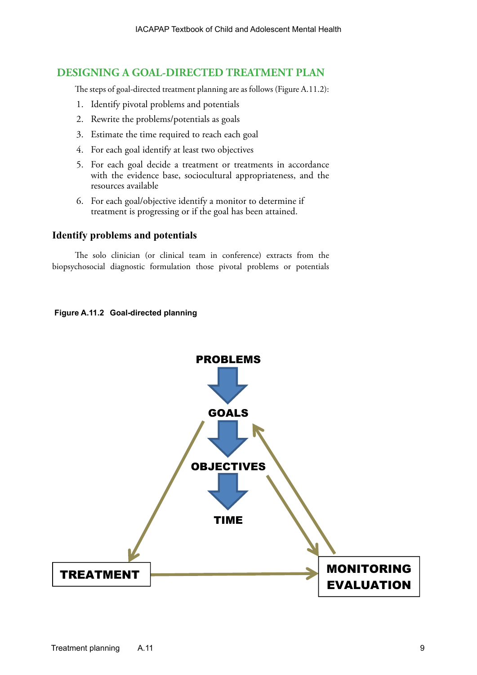# **DESIGNING A GOAL-DIRECTED TREATMENT PLAN**

The steps of goal-directed treatment planning are as follows (Figure A.11.2):

- 1. Identify pivotal problems and potentials
- 2. Rewrite the problems/potentials as goals
- 3. Estimate the time required to reach each goal
- 4. For each goal identify at least two objectives
- 5. For each goal decide a treatment or treatments in accordance with the evidence base, sociocultural appropriateness, and the resources available
- 6. For each goal/objective identify a monitor to determine if treatment is progressing or if the goal has been attained.

## **Identify problems and potentials**

The solo clinician (or clinical team in conference) extracts from the biopsychosocial diagnostic formulation those pivotal problems or potentials

## **Figure A.11.2 Goal-directed planning**

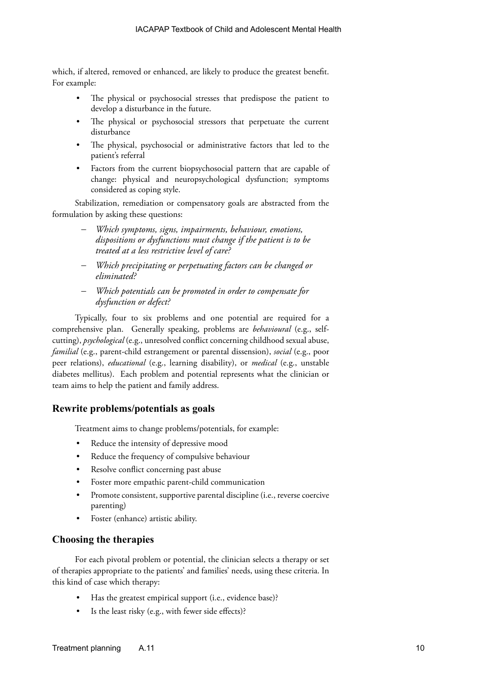which, if altered, removed or enhanced, are likely to produce the greatest benefit. For example:

- The physical or psychosocial stresses that predispose the patient to develop a disturbance in the future.
- The physical or psychosocial stressors that perpetuate the current disturbance
- The physical, psychosocial or administrative factors that led to the patient's referral
- Factors from the current biopsychosocial pattern that are capable of change: physical and neuropsychological dysfunction; symptoms considered as coping style.

Stabilization, remediation or compensatory goals are abstracted from the formulation by asking these questions:

- Which symptoms, signs, impairments, behaviour, emotions, *dispositions or dysfunctions must change if the patient is to be treated at a less restrictive level of care?*
- Which precipitating or perpetuating factors can be changed or *eliminated?*
- Which potentials can be promoted in order to compensate for *dysfunction or defect?*

Typically, four to six problems and one potential are required for a comprehensive plan. Generally speaking, problems are *behavioural* (e.g., selfcutting), *psychological* (e.g., unresolved conflict concerning childhood sexual abuse, *familial* (e.g., parent-child estrangement or parental dissension), *social* (e.g., poor peer relations), *educational* (e.g., learning disability), or *medical* (e.g., unstable diabetes mellitus). Each problem and potential represents what the clinician or team aims to help the patient and family address.

# **Rewrite problems/potentials as goals**

Treatment aims to change problems/potentials, for example:

- Reduce the intensity of depressive mood
- Reduce the frequency of compulsive behaviour
- Resolve conflict concerning past abuse
- Foster more empathic parent-child communication
- Promote consistent, supportive parental discipline (i.e., reverse coercive parenting)
- Foster (enhance) artistic ability.

# **Choosing the therapies**

For each pivotal problem or potential, the clinician selects a therapy or set of therapies appropriate to the patients' and families' needs, using these criteria. In this kind of case which therapy:

- Has the greatest empirical support (i.e., evidence base)?
- Is the least risky (e.g., with fewer side effects)?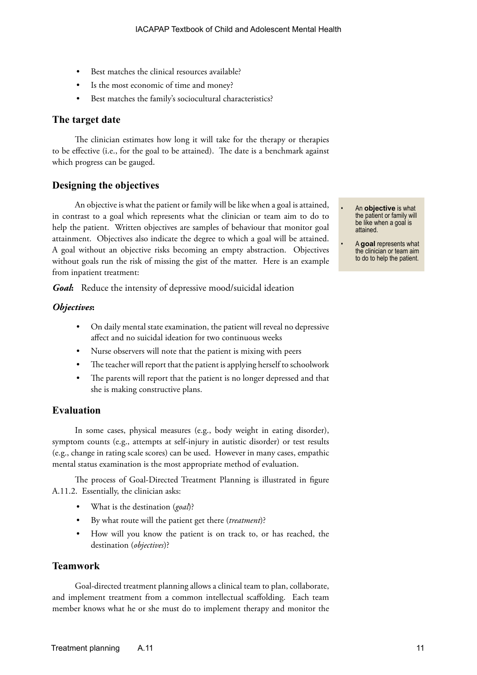- Best matches the clinical resources available?
- Is the most economic of time and money?
- Best matches the family's sociocultural characteristics?

### **The target date**

The clinician estimates how long it will take for the therapy or therapies to be effective (i.e., for the goal to be attained). The date is a benchmark against which progress can be gauged.

## **Designing the objectives**

An objective is what the patient or family will be like when a goal is attained, in contrast to a goal which represents what the clinician or team aim to do to help the patient. Written objectives are samples of behaviour that monitor goal attainment. Objectives also indicate the degree to which a goal will be attained. A goal without an objective risks becoming an empty abstraction. Objectives without goals run the risk of missing the gist of the matter. Here is an example from inpatient treatment:

*Goal***:** Reduce the intensity of depressive mood/suicidal ideation

#### *Objectives***:**

- On daily mental state examination, the patient will reveal no depressive affect and no suicidal ideation for two continuous weeks
- Nurse observers will note that the patient is mixing with peers
- The teacher will report that the patient is applying herself to schoolwork
- The parents will report that the patient is no longer depressed and that she is making constructive plans.

## **Evaluation**

In some cases, physical measures (e.g., body weight in eating disorder), symptom counts (e.g., attempts at self-injury in autistic disorder) or test results (e.g., change in rating scale scores) can be used. However in many cases, empathic mental status examination is the most appropriate method of evaluation.

The process of Goal-Directed Treatment Planning is illustrated in figure A.11.2. Essentially, the clinician asks:

- What is the destination (*goal*)?
- By what route will the patient get there (*treatment*)?
- How will you know the patient is on track to, or has reached, the destination (*objectives*)?

#### **Teamwork**

Goal-directed treatment planning allows a clinical team to plan, collaborate, and implement treatment from a common intellectual scaffolding. Each team member knows what he or she must do to implement therapy and monitor the • An **objective** is what the patient or family will be like when a goal is attained.

• A **goal** represents what the clinician or team aim to do to help the patient.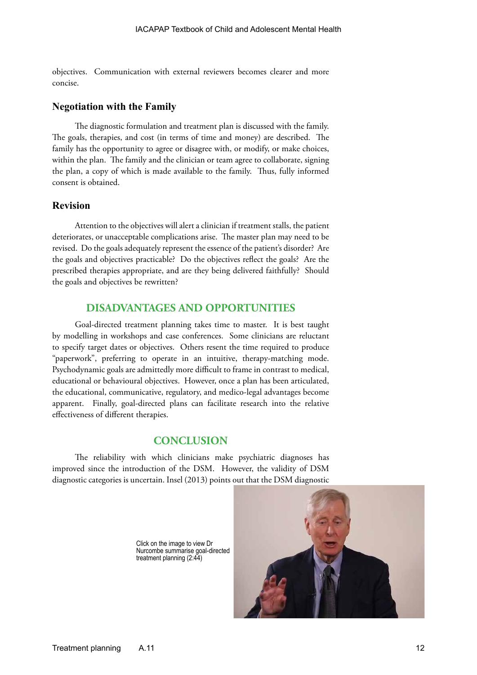objectives. Communication with external reviewers becomes clearer and more concise.

#### **Negotiation with the Family**

The diagnostic formulation and treatment plan is discussed with the family. The goals, therapies, and cost (in terms of time and money) are described. The family has the opportunity to agree or disagree with, or modify, or make choices, within the plan. The family and the clinician or team agree to collaborate, signing the plan, a copy of which is made available to the family. Thus, fully informed consent is obtained.

## **Revision**

Attention to the objectives will alert a clinician if treatment stalls, the patient deteriorates, or unacceptable complications arise. The master plan may need to be revised. Do the goals adequately represent the essence of the patient's disorder? Are the goals and objectives practicable? Do the objectives reflect the goals? Are the prescribed therapies appropriate, and are they being delivered faithfully? Should the goals and objectives be rewritten?

## **DISADVANTAGES AND OPPORTUNITIES**

Goal-directed treatment planning takes time to master. It is best taught by modelling in workshops and case conferences. Some clinicians are reluctant to specify target dates or objectives. Others resent the time required to produce "paperwork", preferring to operate in an intuitive, therapy-matching mode. Psychodynamic goals are admittedly more difficult to frame in contrast to medical, educational or behavioural objectives. However, once a plan has been articulated, the educational, communicative, regulatory, and medico-legal advantages become apparent. Finally, goal-directed plans can facilitate research into the relative effectiveness of different therapies.

## **CONCLUSION**

The reliability with which clinicians make psychiatric diagnoses has improved since the introduction of the DSM. However, the validity of DSM diagnostic categories is uncertain. Insel (2013) points [out that the DSM diagnostic](http://www.youtube.com/watch?v=mBTxN72Mv4E) 

> Click on the image to view Dr Nurcombe summarise goal-directed treatment planning (2:44)

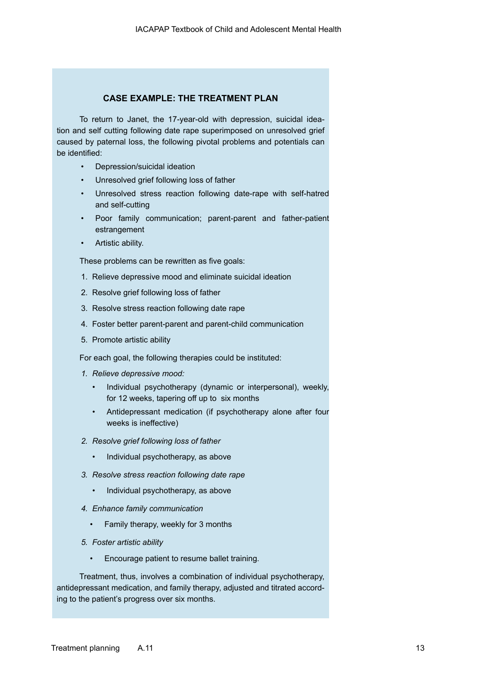## **CASE EXAMPLE: THE TREATMENT PLAN**

To return to Janet, the 17-year-old with depression, suicidal ideation and self cutting following date rape superimposed on unresolved grief caused by paternal loss, the following pivotal problems and potentials can be identified:

- Depression/suicidal ideation
- Unresolved grief following loss of father
- Unresolved stress reaction following date-rape with self-hatred and self-cutting
- Poor family communication; parent-parent and father-patient estrangement
- Artistic ability.

These problems can be rewritten as five goals:

- 1. Relieve depressive mood and eliminate suicidal ideation
- 2. Resolve grief following loss of father
- 3. Resolve stress reaction following date rape
- 4. Foster better parent-parent and parent-child communication
- 5. Promote artistic ability

For each goal, the following therapies could be instituted:

- *1. Relieve depressive mood:*
	- Individual psychotherapy (dynamic or interpersonal), weekly, for 12 weeks, tapering off up to six months
	- Antidepressant medication (if psychotherapy alone after four weeks is ineffective)
- *2. Resolve grief following loss of father*
	- Individual psychotherapy, as above
- *3. Resolve stress reaction following date rape*
	- Individual psychotherapy, as above
- *4. Enhance family communication*
	- Family therapy, weekly for 3 months
- *5. Foster artistic ability*
	- Encourage patient to resume ballet training.

Treatment, thus, involves a combination of individual psychotherapy, antidepressant medication, and family therapy, adjusted and titrated according to the patient's progress over six months.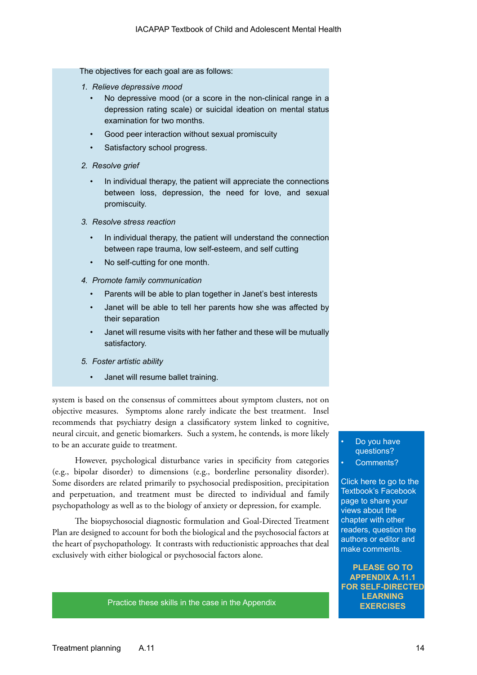The objectives for each goal are as follows:

- *1. Relieve depressive mood*
	- No depressive mood (or a score in the non-clinical range in a depression rating scale) or suicidal ideation on mental status examination for two months.
	- Good peer interaction without sexual promiscuity
	- Satisfactory school progress.
- *2. Resolve grief*
	- In individual therapy, the patient will appreciate the connections between loss, depression, the need for love, and sexual promiscuity.
- *3. Resolve stress reaction*
	- In individual therapy, the patient will understand the connection between rape trauma, low self-esteem, and self cutting
	- No self-cutting for one month.
- *4. Promote family communication*
	- Parents will be able to plan together in Janet's best interests
	- Janet will be able to tell her parents how she was affected by their separation
	- Janet will resume visits with her father and these will be mutually satisfactory.
- *5. Foster artistic ability*
	- Janet will resume ballet training.

system is based on the consensus of committees about symptom clusters, not on objective measures. Symptoms alone rarely indicate the best treatment. Insel recommends that psychiatry design a classificatory system linked to cognitive, neural circuit, and genetic biomarkers. Such a system, he contends, is more likely to be an accurate guide to treatment.

However, psychological disturbance varies in specificity from categories (e.g., bipolar disorder) to dimensions (e.g., borderline personality disorder). Some disorders are related primarily to psychosocial predisposition, precipitation and perpetuation, and treatment must be directed to individual and family psychopathology as well as to the biology of anxiety or depression, for example.

The biopsychosocial diagnostic formulation and Goal-Directed Treatment Plan are designed to account for both the biological and the psychosocial factors at the heart of psychopathology. It contrasts with reductionistic approaches that deal exclusively with either biological or psychosocial factors alone.

**EXERCISES** [Practice these skills in the case in the Appendix](https://www.facebook.com/pages/IACAPAP-Textbook-of-Child-and-Adolescent-Mental-Health/249690448525378) **EXERCISES** 

## Do you have questions? Comments?

Click here to go to the Textbook's Facebook page to share your views about the chapter with other readers, question the authors or editor and make comments.

**PLEASE GO TO APPENDIX A.11.1 [FOR SELF-DIRECTED](https://www.facebook.com/pages/IACAPAP-Textbook-of-Child-and-Adolescent-Mental-Health/249690448525378)  LEARNING**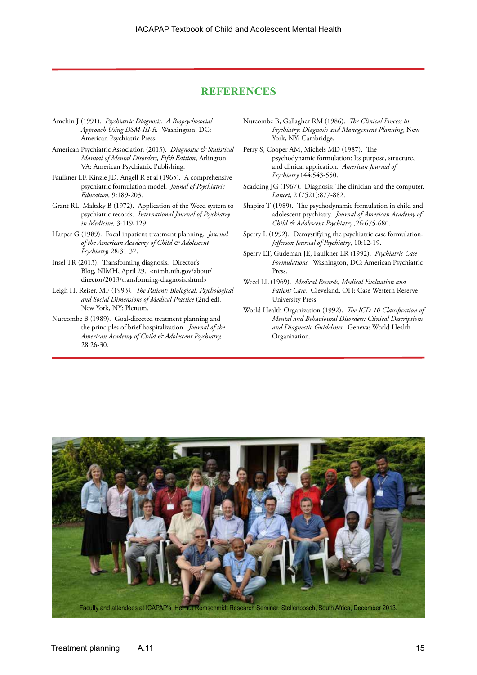## **REFERENCES**

- Amchin J (1991). *Psychiatric Diagnosis. A Biopsychosocial Approach Using DSM-III-R.* Washington, DC: American Psychiatric Press.
- American Psychiatric Association (2013). *Diagnostic & Statistical Manual of Mental Disorders, Fifth Edition*, Arlington VA: American Psychiatric Publishing.
- Faulkner LF, Kinzie JD, Angell R et al (1965). A comprehensive psychiatric formulation model. *Jounal of Psychiatric Education,* 9:189-203.
- Grant RL, Maltzky B (1972). Application of the Weed system to psychiatric records. *International Journal of Psychiatry in Medicine,* 3:119-129.
- Harper G (1989). Focal inpatient treatment planning. *Journal of the American Academy of Child & Adolescent Psychiatry,* 28:31-37.
- Insel TR (2013). Transforming diagnosis. Director's Blog, NIMH, April 29. <nimh.nih.gov/about/ director/2013/transforming-diagnosis.shtml>
- Leigh H, Reiser, MF (1993*). The Patient: Biological, Psychological and Social Dimensions of Medical Practice* (2nd ed), New York, NY: Plenum.
- Nurcombe B (1989). Goal-directed treatment planning and the principles of brief hospitalization. *Journal of the American Academy of Child & Adolescent Psychiatry,*  28:26-30.
- Nurcombe B, Gallagher RM (1986). *The Clinical Process in Psychiatry: Diagnosis and Management Planning*, New York, NY: Cambridge.
- Perry S, Cooper AM, Michels MD (1987). The psychodynamic formulation: Its purpose, structure, and clinical application. *American Journal of Psychiatry,*144:543-550.
- Scadding JG (1967). Diagnosis: The clinician and the computer. *Lancet*, 2 (7521):877-882.
- Shapiro T (1989). The psychodynamic formulation in child and adolescent psychiatry. *Journal of American Academy of Child & Adolescent Psychiatry ,*26:675-680.
- Sperry L (1992). Demystifying the psychiatric case formulation. *Jefferson Journal of Psychiatry*, 10:12-19.
- Sperry LT, Gudeman JE, Faulkner LR (1992). *Psychiatric Case Formulations.* Washington, DC: American Psychiatric Press.
- Weed LL (1969). *Medical Records, Medical Evaluation and Patient Care.* Cleveland, OH: Case Western Reserve University Press.
- World Health Organization (1992). *The ICD-10 Classification of Mental and Behavioural Disorders: Clinical Descriptions and Diagnostic Guidelines.* Geneva: World Health Organization.

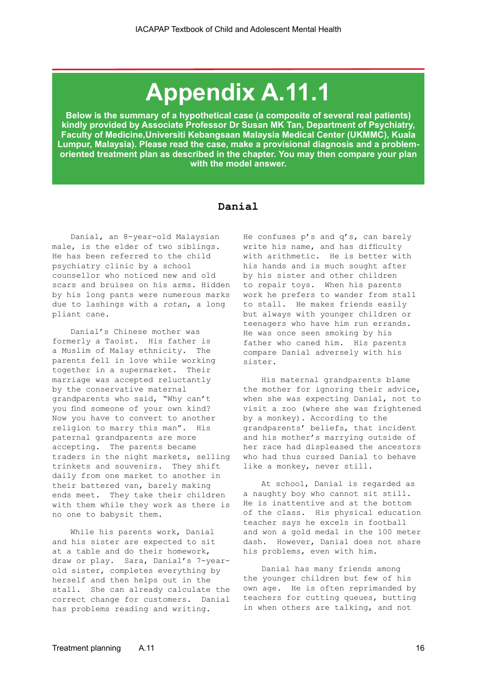# **Appendix A.11.1**

**Below is the summary of a hypothetical case (a composite of several real patients) kindly provided by Associate Professor Dr Susan MK Tan, Department of Psychiatry, Faculty of Medicine,Universiti Kebangsaan Malaysia Medical Center (UKMMC), Kuala Lumpur, Malaysia). Please read the case, make a provisional diagnosis and a problemoriented treatment plan as described in the chapter. You may then compare your plan with the model answer.**

## **Danial**

Danial, an 8-year-old Malaysian male, is the elder of two siblings. He has been referred to the child psychiatry clinic by a school counsellor who noticed new and old scars and bruises on his arms. Hidden by his long pants were numerous marks due to lashings with a *rotan*, a long pliant cane.

Danial's Chinese mother was formerly a Taoist. His father is a Muslim of Malay ethnicity. The parents fell in love while working together in a supermarket. Their marriage was accepted reluctantly by the conservative maternal grandparents who said, "Why can't you find someone of your own kind? Now you have to convert to another religion to marry this man". His paternal grandparents are more accepting. The parents became traders in the night markets, selling trinkets and souvenirs. They shift daily from one market to another in their battered van, barely making ends meet. They take their children with them while they work as there is no one to babysit them.

While his parents work, Danial and his sister are expected to sit at a table and do their homework, draw or play. Sara, Danial's 7-yearold sister, completes everything by herself and then helps out in the stall. She can already calculate the correct change for customers. Danial has problems reading and writing.

He confuses p's and q's, can barely write his name, and has difficulty with arithmetic. He is better with his hands and is much sought after by his sister and other children to repair toys. When his parents work he prefers to wander from stall to stall. He makes friends easily but always with younger children or teenagers who have him run errands. He was once seen smoking by his father who caned him. His parents compare Danial adversely with his sister.

His maternal grandparents blame the mother for ignoring their advice, when she was expecting Danial, not to visit a zoo (where she was frightened by a monkey). According to the grandparents' beliefs, that incident and his mother's marrying outside of her race had displeased the ancestors who had thus cursed Danial to behave like a monkey, never still.

At school, Danial is regarded as a naughty boy who cannot sit still. He is inattentive and at the bottom of the class. His physical education teacher says he excels in football and won a gold medal in the 100 meter dash. However, Danial does not share his problems, even with him.

Danial has many friends among the younger children but few of his own age. He is often reprimanded by teachers for cutting queues, butting in when others are talking, and not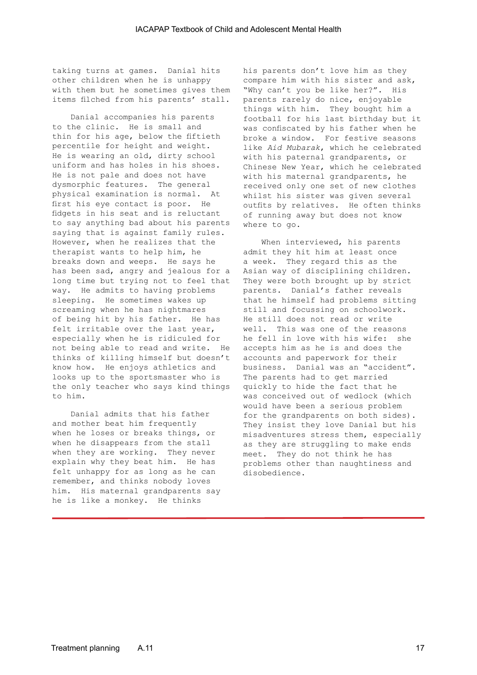taking turns at games. Danial hits other children when he is unhappy with them but he sometimes gives them items filched from his parents' stall.

Danial accompanies his parents to the clinic. He is small and thin for his age, below the fiftieth percentile for height and weight. He is wearing an old, dirty school uniform and has holes in his shoes. He is not pale and does not have dysmorphic features. The general physical examination is normal. At first his eye contact is poor. He fidgets in his seat and is reluctant to say anything bad about his parents saying that is against family rules. However, when he realizes that the therapist wants to help him, he breaks down and weeps. He says he has been sad, angry and jealous for a long time but trying not to feel that way. He admits to having problems sleeping. He sometimes wakes up screaming when he has nightmares of being hit by his father. He has felt irritable over the last year, especially when he is ridiculed for not being able to read and write. He accepts him as he is and does the thinks of killing himself but doesn't accounts and paperwork for their know how. He enjoys athletics and looks up to the sportsmaster who is the only teacher who says kind things to him.

Danial admits that his father and mother beat him frequently when he loses or breaks things, or when he disappears from the stall when they are working. They never explain why they beat him. He has felt unhappy for as long as he can remember, and thinks nobody loves him. His maternal grandparents say he is like a monkey. He thinks

his parents don't love him as they compare him with his sister and ask, "Why can't you be like her?". His parents rarely do nice, enjoyable things with him. They bought him a football for his last birthday but it was confiscated by his father when he broke a window. For festive seasons like *Aid Mubarak*, which he celebrated with his paternal grandparents, or Chinese New Year, which he celebrated with his maternal grandparents, he received only one set of new clothes whilst his sister was given several outfits by relatives. He often thinks of running away but does not know where to go.

When interviewed, his parents admit they hit him at least once a week. They regard this as the Asian way of disciplining children. They were both brought up by strict parents. Danial's father reveals that he himself had problems sitting still and focussing on schoolwork. He still does not read or write well. This was one of the reasons he fell in love with his wife: she business. Danial was an "accident". The parents had to get married quickly to hide the fact that he was conceived out of wedlock (which would have been a serious problem for the grandparents on both sides). They insist they love Danial but his misadventures stress them, especially as they are struggling to make ends meet. They do not think he has problems other than naughtiness and disobedience.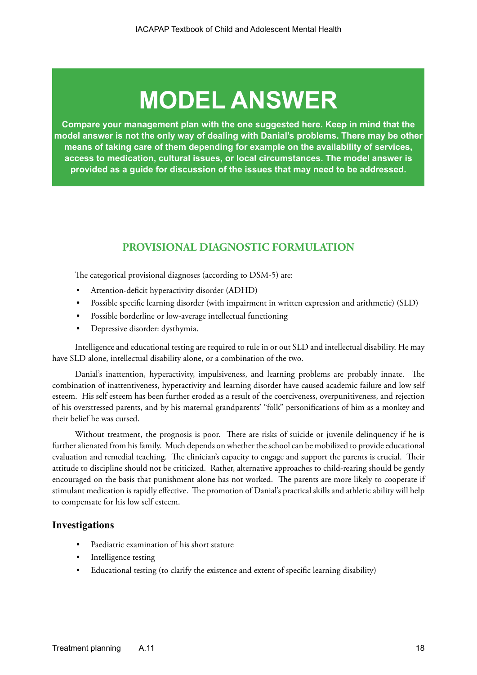# **MODEL ANSWER**

**Compare your management plan with the one suggested here. Keep in mind that the model answer is not the only way of dealing with Danial's problems. There may be other means of taking care of them depending for example on the availability of services, access to medication, cultural issues, or local circumstances. The model answer is provided as a guide for discussion of the issues that may need to be addressed.**

# **PROVISIONAL DIAGNOSTIC FORMULATION**

The categorical provisional diagnoses (according to DSM-5) are:

- Attention-deficit hyperactivity disorder (ADHD)
- Possible specific learning disorder (with impairment in written expression and arithmetic) (SLD)
- Possible borderline or low-average intellectual functioning
- Depressive disorder: dysthymia.

Intelligence and educational testing are required to rule in or out SLD and intellectual disability. He may have SLD alone, intellectual disability alone, or a combination of the two.

Danial's inattention, hyperactivity, impulsiveness, and learning problems are probably innate. The combination of inattentiveness, hyperactivity and learning disorder have caused academic failure and low self esteem. His self esteem has been further eroded as a result of the coerciveness, overpunitiveness, and rejection of his overstressed parents, and by his maternal grandparents' "folk" personifications of him as a monkey and their belief he was cursed.

Without treatment, the prognosis is poor. There are risks of suicide or juvenile delinquency if he is further alienated from his family. Much depends on whether the school can be mobilized to provide educational evaluation and remedial teaching. The clinician's capacity to engage and support the parents is crucial. Their attitude to discipline should not be criticized. Rather, alternative approaches to child-rearing should be gently encouraged on the basis that punishment alone has not worked. The parents are more likely to cooperate if stimulant medication is rapidly effective. The promotion of Danial's practical skills and athletic ability will help to compensate for his low self esteem.

## **Investigations**

- Paediatric examination of his short stature
- Intelligence testing
- Educational testing (to clarify the existence and extent of specific learning disability)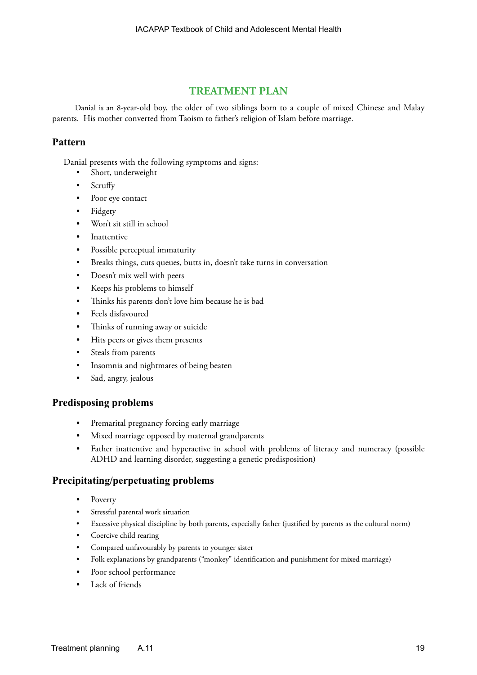# **TREATMENT PLAN**

Danial is an 8-year-old boy, the older of two siblings born to a couple of mixed Chinese and Malay parents. His mother converted from Taoism to father's religion of Islam before marriage.

# **Pattern**

Danial presents with the following symptoms and signs:

- Short, underweight
- Scruffy
- Poor eye contact
- Fidgety
- Won't sit still in school
- Inattentive
- Possible perceptual immaturity
- Breaks things, cuts queues, butts in, doesn't take turns in conversation
- Doesn't mix well with peers
- Keeps his problems to himself
- Thinks his parents don't love him because he is bad
- Feels disfavoured
- Thinks of running away or suicide
- Hits peers or gives them presents
- Steals from parents
- Insomnia and nightmares of being beaten
- Sad, angry, jealous

# **Predisposing problems**

- Premarital pregnancy forcing early marriage
- Mixed marriage opposed by maternal grandparents
- Father inattentive and hyperactive in school with problems of literacy and numeracy (possible ADHD and learning disorder, suggesting a genetic predisposition)

# **Precipitating/perpetuating problems**

- Poverty
- Stressful parental work situation
- Excessive physical discipline by both parents, especially father (justified by parents as the cultural norm)
- Coercive child rearing
- Compared unfavourably by parents to younger sister
- Folk explanations by grandparents ("monkey" identification and punishment for mixed marriage)
- Poor school performance
- Lack of friends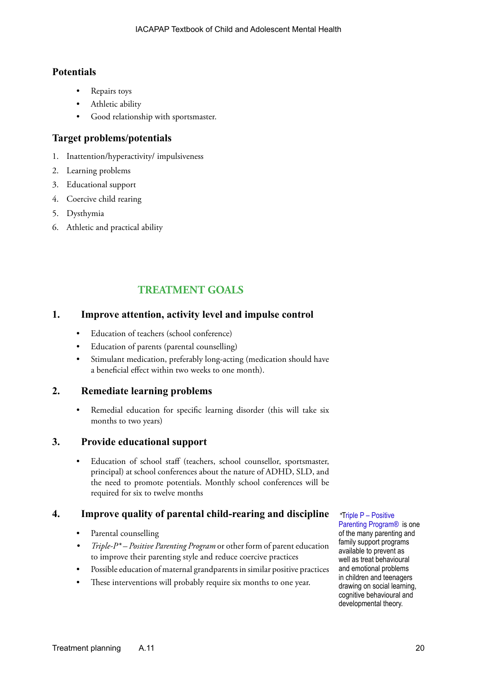# **Potentials**

- Repairs toys
- Athletic ability
- Good relationship with sportsmaster.

# **Target problems/potentials**

- 1. Inattention/hyperactivity/ impulsiveness
- 2. Learning problems
- 3. Educational support
- 4. Coercive child rearing
- 5. Dysthymia
- 6. Athletic and practical ability

# **TREATMENT GOALS**

# **1. Improve attention, activity level and impulse control**

- Education of teachers (school conference)
- Education of parents (parental counselling)
- Stimulant medication, preferably long-acting (medication should have a beneficial effect within two weeks to one month).

# **2. Remediate learning problems**

• Remedial education for specific learning disorder (this will take six months to two years)

# **3. Provide educational support**

Education of school staff (teachers, school counsellor, sportsmaster, principal) at school conferences about the nature of ADHD, SLD, and the need to promote potentials. Monthly school conferences will be required for six to twelve months

# **4. Improve quality of parental child-rearing and discipline**

- Parental counselling
- *• Triple-P\* Positive Parenting Program* or other form of parent education to improve their parenting style and reduce coercive practices
- Possible education of maternal grandparents in similar positive practices
- These interventions will probably require six months to one year.

*\**T[riple P – Positive](http://www.triplep.net/glo-en/home/ )  [Parenting Program®](http://www.triplep.net/glo-en/home/ ) is one of the many parenting and family support programs available to prevent as well as treat behavioural and emotional problems in children and teenagers drawing on social learning, cognitive behavioural and developmental theory.